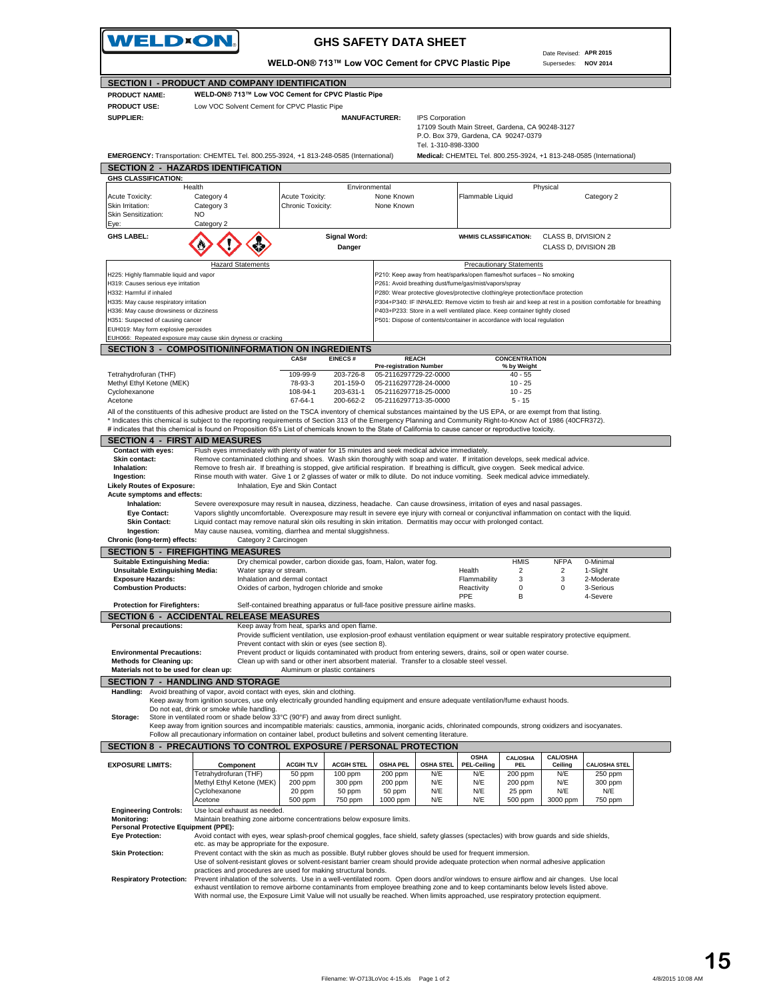|                                                                                   | <b>VELD×ON.</b>                                                                                                                                                                                                                                                                                                             |                                                                                                                                                                                            |                               | <b>GHS SAFETY DATA SHEET</b>                            |                         |                                                                                                                                 |                                 | Date Revised: APR 2015                      |                                                                                                            |  |
|-----------------------------------------------------------------------------------|-----------------------------------------------------------------------------------------------------------------------------------------------------------------------------------------------------------------------------------------------------------------------------------------------------------------------------|--------------------------------------------------------------------------------------------------------------------------------------------------------------------------------------------|-------------------------------|---------------------------------------------------------|-------------------------|---------------------------------------------------------------------------------------------------------------------------------|---------------------------------|---------------------------------------------|------------------------------------------------------------------------------------------------------------|--|
|                                                                                   |                                                                                                                                                                                                                                                                                                                             | WELD-ON® 713™ Low VOC Cement for CPVC Plastic Pipe                                                                                                                                         |                               |                                                         |                         |                                                                                                                                 |                                 | Supersedes:                                 | <b>NOV 2014</b>                                                                                            |  |
|                                                                                   | SECTION I - PRODUCT AND COMPANY IDENTIFICATION                                                                                                                                                                                                                                                                              |                                                                                                                                                                                            |                               |                                                         |                         |                                                                                                                                 |                                 |                                             |                                                                                                            |  |
| <b>PRODUCT NAME:</b><br><b>PRODUCT USE:</b>                                       | WELD-ON® 713™ Low VOC Cement for CPVC Plastic Pipe<br>Low VOC Solvent Cement for CPVC Plastic Pipe                                                                                                                                                                                                                          |                                                                                                                                                                                            |                               |                                                         |                         |                                                                                                                                 |                                 |                                             |                                                                                                            |  |
| SUPPLIER:                                                                         |                                                                                                                                                                                                                                                                                                                             |                                                                                                                                                                                            | <b>MANUFACTURER:</b>          |                                                         | <b>IPS Corporation</b>  | 17109 South Main Street, Gardena, CA 90248-3127<br>P.O. Box 379, Gardena, CA 90247-0379                                         |                                 |                                             |                                                                                                            |  |
|                                                                                   | EMERGENCY: Transportation: CHEMTEL Tel. 800.255-3924, +1 813-248-0585 (International)                                                                                                                                                                                                                                       |                                                                                                                                                                                            |                               |                                                         | Tel. 1-310-898-3300     |                                                                                                                                 |                                 |                                             | Medical: CHEMTEL Tel. 800.255-3924, +1 813-248-0585 (International)                                        |  |
|                                                                                   | <b>SECTION 2 - HAZARDS IDENTIFICATION</b>                                                                                                                                                                                                                                                                                   |                                                                                                                                                                                            |                               |                                                         |                         |                                                                                                                                 |                                 |                                             |                                                                                                            |  |
| <b>GHS CLASSIFICATION:</b><br>Health                                              |                                                                                                                                                                                                                                                                                                                             |                                                                                                                                                                                            | Environmental                 |                                                         |                         |                                                                                                                                 |                                 | Physical                                    |                                                                                                            |  |
| Acute Toxicity:<br>Skin Irritation:<br>Skin Sensitization:<br>Eye:                | Category 4<br>Category 3<br><b>NO</b><br>Category 2                                                                                                                                                                                                                                                                         | <b>Acute Toxicity:</b><br>Chronic Toxicity:                                                                                                                                                |                               | None Known<br>None Known                                |                         | Flammable Liquid                                                                                                                |                                 |                                             | Category 2                                                                                                 |  |
| <b>GHS LABEL:</b>                                                                 |                                                                                                                                                                                                                                                                                                                             |                                                                                                                                                                                            | <b>Signal Word:</b><br>Danger |                                                         |                         | <b>WHMIS CLASSIFICATION:</b>                                                                                                    |                                 | CLASS B, DIVISION 2<br>CLASS D, DIVISION 2B |                                                                                                            |  |
|                                                                                   | <b>Hazard Statements</b>                                                                                                                                                                                                                                                                                                    |                                                                                                                                                                                            |                               |                                                         |                         |                                                                                                                                 | <b>Precautionary Statements</b> |                                             |                                                                                                            |  |
| H225: Highly flammable liquid and vapor<br>H319: Causes serious eye irritation    |                                                                                                                                                                                                                                                                                                                             |                                                                                                                                                                                            |                               |                                                         |                         | P210: Keep away from heat/sparks/open flames/hot surfaces - No smoking<br>P261: Avoid breathing dust/fume/gas/mist/vapors/spray |                                 |                                             |                                                                                                            |  |
| H332: Harmful if inhaled                                                          |                                                                                                                                                                                                                                                                                                                             |                                                                                                                                                                                            |                               |                                                         |                         | P280: Wear protective gloves/protective clothing/eye protection/face protection                                                 |                                 |                                             |                                                                                                            |  |
| H335: May cause respiratory irritation<br>H336: May cause drowsiness or dizziness |                                                                                                                                                                                                                                                                                                                             |                                                                                                                                                                                            |                               |                                                         |                         | P403+P233: Store in a well ventilated place. Keep container tightly closed                                                      |                                 |                                             | P304+P340: IF INHALED: Remove victim to fresh air and keep at rest in a position comfortable for breathing |  |
| H351: Suspected of causing cancer                                                 |                                                                                                                                                                                                                                                                                                                             |                                                                                                                                                                                            |                               |                                                         |                         | P501: Dispose of contents/container in accordance with local regulation                                                         |                                 |                                             |                                                                                                            |  |
| EUH019: May form explosive peroxides                                              |                                                                                                                                                                                                                                                                                                                             |                                                                                                                                                                                            |                               |                                                         |                         |                                                                                                                                 |                                 |                                             |                                                                                                            |  |
| EUH066: Repeated exposure may cause skin dryness or cracking                      | <b>SECTION 3 - COMPOSITION/INFORMATION ON INGREDIENTS</b>                                                                                                                                                                                                                                                                   |                                                                                                                                                                                            |                               |                                                         |                         |                                                                                                                                 |                                 |                                             |                                                                                                            |  |
|                                                                                   |                                                                                                                                                                                                                                                                                                                             | CAS#                                                                                                                                                                                       | <b>EINECS#</b>                | <b>REACH</b>                                            |                         |                                                                                                                                 | <b>CONCENTRATION</b>            |                                             |                                                                                                            |  |
| Tetrahydrofuran (THF)                                                             |                                                                                                                                                                                                                                                                                                                             | 109-99-9                                                                                                                                                                                   | 203-726-8                     | <b>Pre-registration Number</b><br>05-2116297729-22-0000 |                         |                                                                                                                                 | % by Weight<br>$40 - 55$        |                                             |                                                                                                            |  |
| Methyl Ethyl Ketone (MEK)                                                         |                                                                                                                                                                                                                                                                                                                             | 78-93-3                                                                                                                                                                                    | 201-159-0                     | 05-2116297728-24-0000                                   |                         |                                                                                                                                 | $10 - 25$                       |                                             |                                                                                                            |  |
| Cyclohexanone                                                                     |                                                                                                                                                                                                                                                                                                                             | 108-94-1                                                                                                                                                                                   | 203-631-1                     | 05-2116297718-25-0000                                   |                         |                                                                                                                                 | $10 - 25$                       |                                             |                                                                                                            |  |
| Acetone                                                                           | All of the constituents of this adhesive product are listed on the TSCA inventory of chemical substances maintained by the US EPA, or are exempt from that listing.                                                                                                                                                         | 67-64-1                                                                                                                                                                                    | 200-662-2                     | 05-2116297713-35-0000                                   |                         |                                                                                                                                 | $5 - 15$                        |                                             |                                                                                                            |  |
|                                                                                   | * Indicates this chemical is subject to the reporting requirements of Section 313 of the Emergency Planning and Community Right-to-Know Act of 1986 (40CFR372).<br># indicates that this chemical is found on Proposition 65's List of chemicals known to the State of California to cause cancer or reproductive toxicity. |                                                                                                                                                                                            |                               |                                                         |                         |                                                                                                                                 |                                 |                                             |                                                                                                            |  |
| <b>SECTION 4 - FIRST AID MEASURES</b>                                             |                                                                                                                                                                                                                                                                                                                             |                                                                                                                                                                                            |                               |                                                         |                         |                                                                                                                                 |                                 |                                             |                                                                                                            |  |
| Contact with eyes:<br>Skin contact:                                               | Flush eyes immediately with plenty of water for 15 minutes and seek medical advice immediately.<br>Remove contaminated clothing and shoes. Wash skin thoroughly with soap and water. If irritation develops, seek medical advice.                                                                                           |                                                                                                                                                                                            |                               |                                                         |                         |                                                                                                                                 |                                 |                                             |                                                                                                            |  |
| Inhalation:<br>Ingestion:<br><b>Likely Routes of Exposure:</b>                    | Remove to fresh air. If breathing is stopped, give artificial respiration. If breathing is difficult, give oxygen. Seek medical advice.<br>Rinse mouth with water. Give 1 or 2 glasses of water or milk to dilute. Do not induce vomiting. Seek medical advice immediately.                                                 | Inhalation, Eye and Skin Contact                                                                                                                                                           |                               |                                                         |                         |                                                                                                                                 |                                 |                                             |                                                                                                            |  |
| Acute symptoms and effects:                                                       |                                                                                                                                                                                                                                                                                                                             |                                                                                                                                                                                            |                               |                                                         |                         |                                                                                                                                 |                                 |                                             |                                                                                                            |  |
| Inhalation:                                                                       | Severe overexposure may result in nausea, dizziness, headache. Can cause drowsiness, irritation of eyes and nasal passages.                                                                                                                                                                                                 |                                                                                                                                                                                            |                               |                                                         |                         |                                                                                                                                 |                                 |                                             |                                                                                                            |  |
| Eye Contact:<br><b>Skin Contact:</b>                                              | Vapors slightly uncomfortable. Overexposure may result in severe eye injury with corneal or conjunctival inflammation on contact with the liquid.<br>Liquid contact may remove natural skin oils resulting in skin irritation. Dermatitis may occur with prolonged contact.                                                 |                                                                                                                                                                                            |                               |                                                         |                         |                                                                                                                                 |                                 |                                             |                                                                                                            |  |
| Ingestion:                                                                        | May cause nausea, vomiting, diarrhea and mental sluggishness.                                                                                                                                                                                                                                                               |                                                                                                                                                                                            |                               |                                                         |                         |                                                                                                                                 |                                 |                                             |                                                                                                            |  |
| Chronic (long-term) effects:                                                      | Category 2 Carcinogen                                                                                                                                                                                                                                                                                                       |                                                                                                                                                                                            |                               |                                                         |                         |                                                                                                                                 |                                 |                                             |                                                                                                            |  |
| <b>Suitable Extinguishing Media:</b>                                              | <b>SECTION 5 - FIREFIGHTING MEASURES</b>                                                                                                                                                                                                                                                                                    | Dry chemical powder, carbon dioxide gas, foam, Halon, water fog.                                                                                                                           |                               |                                                         |                         |                                                                                                                                 | <b>HMIS</b>                     | <b>NFPA</b>                                 | 0-Minimal                                                                                                  |  |
| <b>Unsuitable Extinguishing Media:</b>                                            | Water spray or stream.                                                                                                                                                                                                                                                                                                      |                                                                                                                                                                                            |                               |                                                         |                         | Health                                                                                                                          | 2                               | 2                                           | 1-Slight                                                                                                   |  |
| <b>Exposure Hazards:</b><br><b>Combustion Products:</b>                           |                                                                                                                                                                                                                                                                                                                             | Inhalation and dermal contact<br>Oxides of carbon, hydrogen chloride and smoke                                                                                                             |                               |                                                         |                         | Flammability<br>Reactivity                                                                                                      | 3<br>$\mathbf 0$                | 3<br>$\mathbf 0$                            | 2-Moderate<br>3-Serious                                                                                    |  |
| <b>Protection for Firefighters:</b>                                               |                                                                                                                                                                                                                                                                                                                             | Self-contained breathing apparatus or full-face positive pressure airline masks.                                                                                                           |                               |                                                         |                         | PPE                                                                                                                             |                                 |                                             | 4-Severe                                                                                                   |  |
|                                                                                   | <b>SECTION 6 - ACCIDENTAL RELEASE MEASURES</b>                                                                                                                                                                                                                                                                              |                                                                                                                                                                                            |                               |                                                         |                         |                                                                                                                                 |                                 |                                             |                                                                                                            |  |
| <b>Personal precautions:</b>                                                      |                                                                                                                                                                                                                                                                                                                             | Keep away from heat, sparks and open flame.                                                                                                                                                |                               |                                                         |                         |                                                                                                                                 |                                 |                                             |                                                                                                            |  |
|                                                                                   |                                                                                                                                                                                                                                                                                                                             | Provide sufficient ventilation, use explosion-proof exhaust ventilation equipment or wear suitable respiratory protective equipment.<br>Prevent contact with skin or eyes (see section 8). |                               |                                                         |                         |                                                                                                                                 |                                 |                                             |                                                                                                            |  |
| <b>Environmental Precautions:</b>                                                 |                                                                                                                                                                                                                                                                                                                             | Prevent product or liquids contaminated with product from entering sewers, drains, soil or open water course.                                                                              |                               |                                                         |                         |                                                                                                                                 |                                 |                                             |                                                                                                            |  |
| <b>Methods for Cleaning up:</b><br>Materials not to be used for clean up:         |                                                                                                                                                                                                                                                                                                                             | Clean up with sand or other inert absorbent material. Transfer to a closable steel vessel.<br>Aluminum or plastic containers                                                               |                               |                                                         |                         |                                                                                                                                 |                                 |                                             |                                                                                                            |  |
|                                                                                   | <b>SECTION 7 - HANDLING AND STORAGE</b>                                                                                                                                                                                                                                                                                     |                                                                                                                                                                                            |                               |                                                         |                         |                                                                                                                                 |                                 |                                             |                                                                                                            |  |
| Handling:                                                                         | Avoid breathing of vapor, avoid contact with eyes, skin and clothing.                                                                                                                                                                                                                                                       |                                                                                                                                                                                            |                               |                                                         |                         |                                                                                                                                 |                                 |                                             |                                                                                                            |  |
|                                                                                   | Keep away from ignition sources, use only electrically grounded handling equipment and ensure adequate ventilation/fume exhaust hoods.<br>Do not eat, drink or smoke while handling.                                                                                                                                        |                                                                                                                                                                                            |                               |                                                         |                         |                                                                                                                                 |                                 |                                             |                                                                                                            |  |
| Storage:                                                                          | Store in ventilated room or shade below 33°C (90°F) and away from direct sunlight.                                                                                                                                                                                                                                          |                                                                                                                                                                                            |                               |                                                         |                         |                                                                                                                                 |                                 |                                             |                                                                                                            |  |
|                                                                                   | Keep away from ignition sources and incompatible materials: caustics, ammonia, inorganic acids, chlorinated compounds, strong oxidizers and isocyanates.<br>Follow all precautionary information on container label, product bulletins and solvent cementing literature.                                                    |                                                                                                                                                                                            |                               |                                                         |                         |                                                                                                                                 |                                 |                                             |                                                                                                            |  |
|                                                                                   | SECTION 8 - PRECAUTIONS TO CONTROL EXPOSURE / PERSONAL PROTECTION                                                                                                                                                                                                                                                           |                                                                                                                                                                                            |                               |                                                         |                         |                                                                                                                                 |                                 |                                             |                                                                                                            |  |
|                                                                                   |                                                                                                                                                                                                                                                                                                                             |                                                                                                                                                                                            |                               |                                                         |                         | <b>OSHA</b>                                                                                                                     | <b>CAL/OSHA</b>                 | <b>CAL/OSHA</b>                             |                                                                                                            |  |
| <b>EXPOSURE LIMITS:</b>                                                           | Component<br>Tetrahydrofuran (THF)                                                                                                                                                                                                                                                                                          | <b>ACGIH TLV</b><br>50 ppm                                                                                                                                                                 | <b>ACGIH STEL</b><br>100 ppm  | <b>OSHA PEL</b><br>200 ppm                              | <b>OSHA STEL</b><br>N/E | <b>PEL-Ceiling</b><br>N/E                                                                                                       | <b>PEL</b><br>200 ppm           | Ceiling<br>N/E                              | <b>CAL/OSHA STEL</b><br>250 ppm                                                                            |  |
|                                                                                   | Methyl Ethyl Ketone (MEK)                                                                                                                                                                                                                                                                                                   | 200 ppm                                                                                                                                                                                    | 300 ppm                       | 200 ppm                                                 | N/E                     | N/E                                                                                                                             | 200 ppm                         | N/E                                         | 300 ppm                                                                                                    |  |
|                                                                                   | Cyclohexanone                                                                                                                                                                                                                                                                                                               | 20 ppm                                                                                                                                                                                     | 50 ppm                        | 50 ppm                                                  | N/E                     | N/E                                                                                                                             | 25 ppm                          | N/E                                         | N/E                                                                                                        |  |
| <b>Engineering Controls:</b>                                                      | Acetone<br>Use local exhaust as needed.                                                                                                                                                                                                                                                                                     | 500 ppm                                                                                                                                                                                    | 750 ppm                       | 1000 ppm                                                | N/E                     | N/E                                                                                                                             | 500 ppm                         | 3000 ppm                                    | 750 ppm                                                                                                    |  |
| <b>Monitoring:</b>                                                                | Maintain breathing zone airborne concentrations below exposure limits.                                                                                                                                                                                                                                                      |                                                                                                                                                                                            |                               |                                                         |                         |                                                                                                                                 |                                 |                                             |                                                                                                            |  |
| Personal Protective Equipment (PPE):<br><b>Eye Protection:</b>                    | Avoid contact with eyes, wear splash-proof chemical goggles, face shield, safety glasses (spectacles) with brow guards and side shields,                                                                                                                                                                                    |                                                                                                                                                                                            |                               |                                                         |                         |                                                                                                                                 |                                 |                                             |                                                                                                            |  |
|                                                                                   | etc. as may be appropriate for the exposure.                                                                                                                                                                                                                                                                                |                                                                                                                                                                                            |                               |                                                         |                         |                                                                                                                                 |                                 |                                             |                                                                                                            |  |
| <b>Skin Protection:</b>                                                           | Prevent contact with the skin as much as possible. Butyl rubber gloves should be used for frequent immersion.<br>Use of solvent-resistant gloves or solvent-resistant barrier cream should provide adequate protection when normal adhesive application<br>practices and procedures are used for making structural bonds.   |                                                                                                                                                                                            |                               |                                                         |                         |                                                                                                                                 |                                 |                                             |                                                                                                            |  |